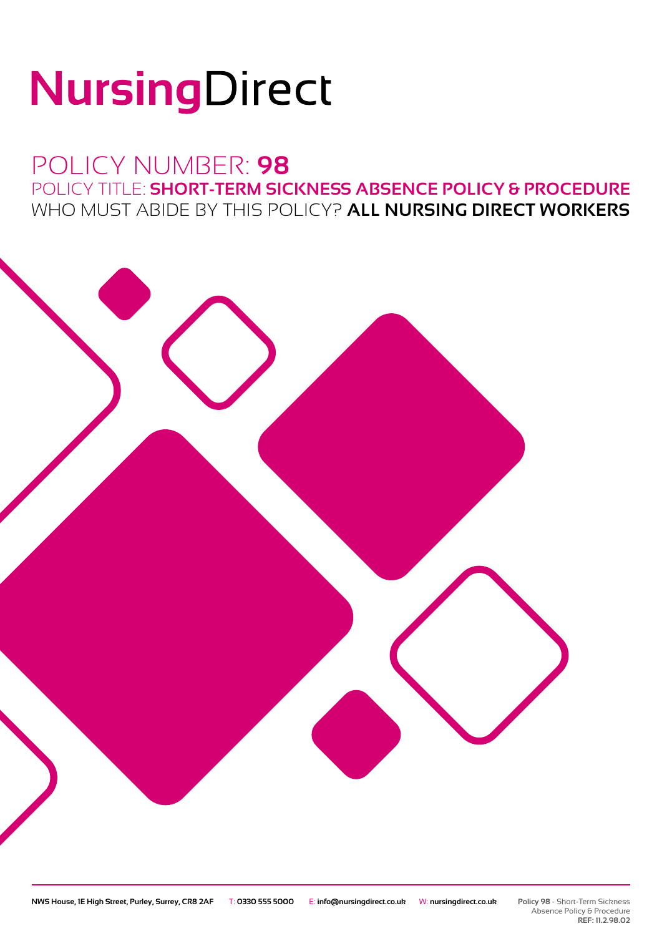# NursingDirect

## POLICY NUMBER: **98** POLICY TITLE: **SHORT-TERM SICKNESS ABSENCE POLICY & PROCEDURE** WHO MUST ABIDE BY THIS POLICY? **ALL NURSING DIRECT WORKERS**

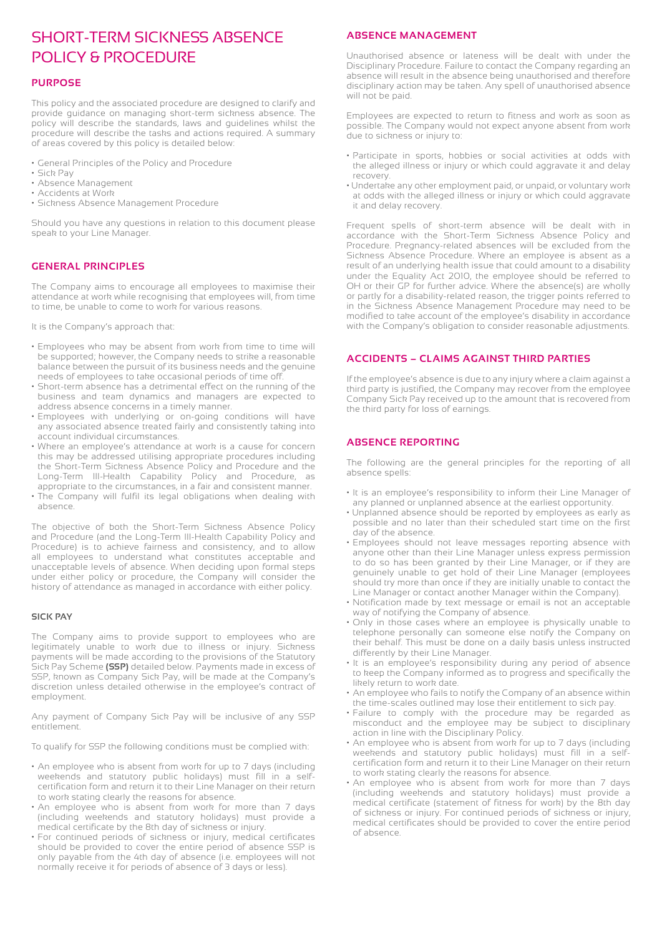### SHORT-TERM SICKNESS ABSENCE POLICY & PROCEDURE

#### **PURPOSE**

This policy and the associated procedure are designed to clarify and provide guidance on managing short-term sickness absence. The policy will describe the standards, laws and guidelines whilst the procedure will describe the tasks and actions required. A summary of areas covered by this policy is detailed below:

- General Principles of the Policy and Procedure
- Sick Pay
- Absence Management
- Accidents at Work
- Sickness Absence Management Procedure

Should you have any questions in relation to this document please speak to your Line Manager.

#### **GENERAL PRINCIPLES**

The Company aims to encourage all employees to maximise their attendance at work while recognising that employees will, from time to time, be unable to come to work for various reasons.

It is the Company's approach that:

- Employees who may be absent from work from time to time will be supported; however, the Company needs to strike a reasonable balance between the pursuit of its business needs and the genuine needs of employees to take occasional periods of time off.
- Short-term absence has a detrimental effect on the running of the business and team dynamics and managers are expected to address absence concerns in a timely manner.
- Employees with underlying or on-going conditions will have any associated absence treated fairly and consistently taking into account individual circumstances.
- Where an employee's attendance at work is a cause for concern this may be addressed utilising appropriate procedures including the Short-Term Sickness Absence Policy and Procedure and the Long-Term Ill-Health Capability Policy and Procedure, as appropriate to the circumstances, in a fair and consistent manner.
- The Company will fulfil its legal obligations when dealing with absence.

The objective of both the Short-Term Sickness Absence Policy and Procedure (and the Long-Term Ill-Health Capability Policy and Procedure) is to achieve fairness and consistency, and to allow all employees to understand what constitutes acceptable and unacceptable levels of absence. When deciding upon formal steps under either policy or procedure, the Company will consider the history of attendance as managed in accordance with either policy.

#### **SICK PAY**

The Company aims to provide support to employees who are legitimately unable to work due to illness or injury. Sickness payments will be made according to the provisions of the Statutory Sick Pay Scheme **(SSP)** detailed below. Payments made in excess of SSP, known as Company Sick Pay, will be made at the Company's discretion unless detailed otherwise in the employee's contract of employment.

Any payment of Company Sick Pay will be inclusive of any SSP entitlement.

To qualify for SSP the following conditions must be complied with:

- An employee who is absent from work for up to 7 days (including weekends and statutory public holidays) must fill in a selfcertification form and return it to their Line Manager on their return to work stating clearly the reasons for absence.
- An employee who is absent from work for more than 7 days (including weekends and statutory holidays) must provide a medical certificate by the 8th day of sickness or injury.
- For continued periods of sickness or injury, medical certificates should be provided to cover the entire period of absence SSP is only payable from the 4th day of absence (i.e. employees will not normally receive it for periods of absence of 3 days or less).

#### **ABSENCE MANAGEMENT**

Unauthorised absence or lateness will be dealt with under the Disciplinary Procedure. Failure to contact the Company regarding an absence will result in the absence being unauthorised and therefore disciplinary action may be taken. Any spell of unauthorised absence will not be paid.

Employees are expected to return to fitness and work as soon as possible. The Company would not expect anyone absent from work due to sickness or injury to:

- Participate in sports, hobbies or social activities at odds with the alleged illness or injury or which could aggravate it and delay recovery.
- Undertake any other employment paid, or unpaid, or voluntary work at odds with the alleged illness or injury or which could aggravate it and delay recovery.

Frequent spells of short-term absence will be dealt with in accordance with the Short-Term Sickness Absence Policy and Procedure. Pregnancy-related absences will be excluded from the Sickness Absence Procedure. Where an employee is absent as a result of an underlying health issue that could amount to a disability under the Equality Act 2010, the employee should be referred to OH or their GP for further advice. Where the absence(s) are wholly or partly for a disability-related reason, the trigger points referred to in the Sickness Absence Management Procedure may need to be modified to take account of the employee's disability in accordance with the Company's obligation to consider reasonable adjustments.

#### **ACCIDENTS – CLAIMS AGAINST THIRD PARTIES**

If the employee's absence is due to any injury where a claim against a third party is justified, the Company may recover from the employee Company Sick Pay received up to the amount that is recovered from the third party for loss of earnings.

#### **ABSENCE REPORTING**

The following are the general principles for the reporting of all absence spells:

- It is an employee's responsibility to inform their Line Manager of any planned or unplanned absence at the earliest opportunity.
- Unplanned absence should be reported by employees as early as possible and no later than their scheduled start time on the first day of the absence.
- Employees should not leave messages reporting absence with anyone other than their Line Manager unless express permission to do so has been granted by their Line Manager, or if they are genuinely unable to get hold of their Line Manager (employees should try more than once if they are initially unable to contact the Line Manager or contact another Manager within the Company).
- Notification made by text message or email is not an acceptable way of notifying the Company of absence.
- Only in those cases where an employee is physically unable to telephone personally can someone else notify the Company on their behalf. This must be done on a daily basis unless instructed differently by their Line Manager.
- It is an employee's responsibility during any period of absence to keep the Company informed as to progress and specifically the likely return to work date.
- An employee who fails to notify the Company of an absence within the time-scales outlined may lose their entitlement to sick pay.
- Failure to comply with the procedure may be regarded as misconduct and the employee may be subject to disciplinary action in line with the Disciplinary Policy.
- An employee who is absent from work for up to 7 days (including weekends and statutory public holidays) must fill in a selfcertification form and return it to their Line Manager on their return to work stating clearly the reasons for absence.
- An employee who is absent from work for more than 7 days (including weekends and statutory holidays) must provide a medical certificate (statement of fitness for work) by the 8th day of sickness or injury. For continued periods of sickness or injury, medical certificates should be provided to cover the entire period of absence.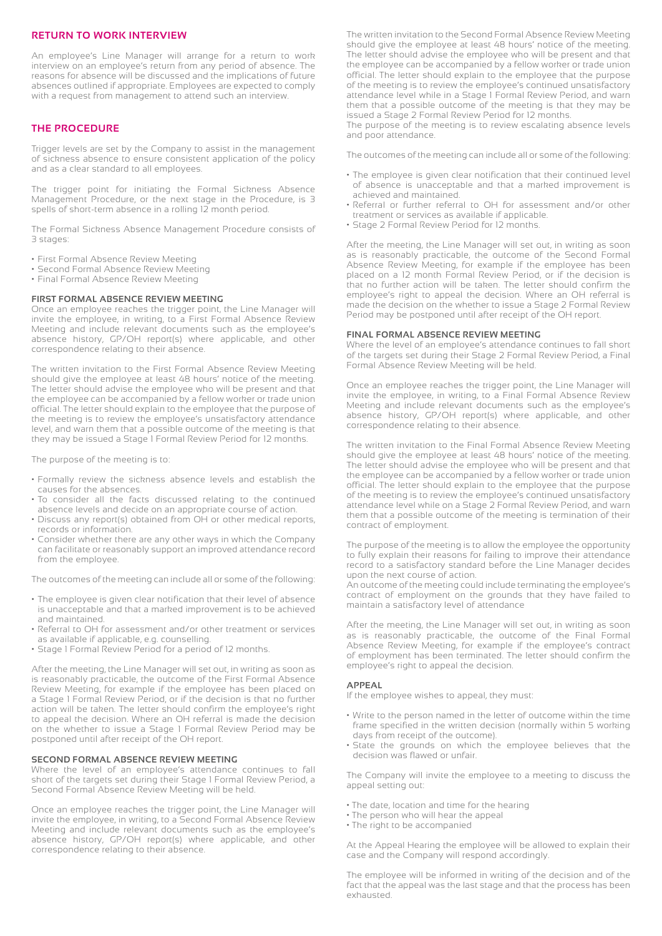#### **RETURN TO WORK INTERVIEW**

An employee's Line Manager will arrange for a return to work interview on an employee's return from any period of absence. The reasons for absence will be discussed and the implications of future absences outlined if appropriate. Employees are expected to comply with a request from management to attend such an interview.

#### **THE PROCEDURE**

Trigger levels are set by the Company to assist in the management of sickness absence to ensure consistent application of the policy and as a clear standard to all employees.

The trigger point for initiating the Formal Sickness Absence Management Procedure, or the next stage in the Procedure, is 3 spells of short-term absence in a rolling 12 month period.

The Formal Sickness Absence Management Procedure consists of 3 stages:

- First Formal Absence Review Meeting
- Second Formal Absence Review Meeting
- Final Formal Absence Review Meeting

#### **FIRST FORMAL ABSENCE REVIEW MEETING**

Once an employee reaches the trigger point, the Line Manager will invite the employee, in writing, to a First Formal Absence Review Meeting and include relevant documents such as the employee's absence history, GP/OH report(s) where applicable, and other correspondence relating to their absence.

The written invitation to the First Formal Absence Review Meeting should give the employee at least 48 hours' notice of the meeting. The letter should advise the employee who will be present and that the employee can be accompanied by a fellow worker or trade union official. The letter should explain to the employee that the purpose of the meeting is to review the employee's unsatisfactory attendance level, and warn them that a possible outcome of the meeting is that they may be issued a Stage 1 Formal Review Period for 12 months.

The purpose of the meeting is to:

- Formally review the sickness absence levels and establish the causes for the absences.
- To consider all the facts discussed relating to the continued absence levels and decide on an appropriate course of action.
- Discuss any report(s) obtained from OH or other medical reports, records or information.
- Consider whether there are any other ways in which the Company can facilitate or reasonably support an improved attendance record from the employee.

The outcomes of the meeting can include all or some of the following:

- The employee is given clear notification that their level of absence is unacceptable and that a marked improvement is to be achieved and maintained.
- Referral to OH for assessment and/or other treatment or services as available if applicable, e.g. counselling.
- Stage 1 Formal Review Period for a period of 12 months.

After the meeting, the Line Manager will set out, in writing as soon as is reasonably practicable, the outcome of the First Formal Absence Review Meeting, for example if the employee has been placed on a Stage 1 Formal Review Period, or if the decision is that no further action will be taken. The letter should confirm the employee's right to appeal the decision. Where an OH referral is made the decision on the whether to issue a Stage 1 Formal Review Period may be postponed until after receipt of the OH report.

#### **SECOND FORMAL ABSENCE REVIEW MEETING**

Where the level of an employee's attendance continues to fall short of the targets set during their Stage 1 Formal Review Period, a Second Formal Absence Review Meeting will be held.

Once an employee reaches the trigger point, the Line Manager will invite the employee, in writing, to a Second Formal Absence Review Meeting and include relevant documents such as the employee's absence history, GP/OH report(s) where applicable, and other correspondence relating to their absence.

The written invitation to the Second Formal Absence Review Meeting should give the employee at least 48 hours' notice of the meeting. The letter should advise the employee who will be present and that the employee can be accompanied by a fellow worker or trade union official. The letter should explain to the employee that the purpose of the meeting is to review the employee's continued unsatisfactory attendance level while in a Stage 1 Formal Review Period, and warn them that a possible outcome of the meeting is that they may be issued a Stage 2 Formal Review Period for 12 months.

The purpose of the meeting is to review escalating absence levels and poor attendance.

The outcomes of the meeting can include all or some of the following:

- The employee is given clear notification that their continued level of absence is unacceptable and that a marked improvement is achieved and maintained.
- Referral or further referral to OH for assessment and/or other treatment or services as available if applicable.
- Stage 2 Formal Review Period for 12 months.

After the meeting, the Line Manager will set out, in writing as soon as is reasonably practicable, the outcome of the Second Formal Absence Review Meeting, for example if the employee has been placed on a 12 month Formal Review Period, or if the decision is that no further action will be taken. The letter should confirm the employee's right to appeal the decision. Where an OH referral is made the decision on the whether to issue a Stage 2 Formal Review Period may be postponed until after receipt of the OH report.

#### **FINAL FORMAL ABSENCE REVIEW MEETING**

Where the level of an employee's attendance continues to fall short of the targets set during their Stage 2 Formal Review Period, a Final Formal Absence Review Meeting will be held.

Once an employee reaches the trigger point, the Line Manager will invite the employee, in writing, to a Final Formal Absence Review Meeting and include relevant documents such as the employee's absence history, GP/OH report(s) where applicable, and other correspondence relating to their absence.

The written invitation to the Final Formal Absence Review Meeting should give the employee at least 48 hours' notice of the meeting. The letter should advise the employee who will be present and that the employee can be accompanied by a fellow worker or trade union official. The letter should explain to the employee that the purpose of the meeting is to review the employee's continued unsatisfactory attendance level while on a Stage 2 Formal Review Period, and warn them that a possible outcome of the meeting is termination of their contract of employment.

The purpose of the meeting is to allow the employee the opportunity to fully explain their reasons for failing to improve their attendance record to a satisfactory standard before the Line Manager decides upon the next course of action.

An outcome of the meeting could include terminating the employee's contract of employment on the grounds that they have failed to maintain a satisfactory level of attendance

After the meeting, the Line Manager will set out, in writing as soon as is reasonably practicable, the outcome of the Final Formal Absence Review Meeting, for example if the employee's contract of employment has been terminated. The letter should confirm the employee's right to appeal the decision.

#### **APPEAL**

If the employee wishes to appeal, they must:

- Write to the person named in the letter of outcome within the time frame specified in the written decision (normally within 5 working days from receipt of the outcome).
- State the grounds on which the employee believes that the decision was flawed or unfair.

The Company will invite the employee to a meeting to discuss the appeal setting out:

- The date, location and time for the hearing
- The person who will hear the appeal
- The right to be accompanied

At the Appeal Hearing the employee will be allowed to explain their case and the Company will respond accordingly.

The employee will be informed in writing of the decision and of the fact that the appeal was the last stage and that the process has been exhausted.